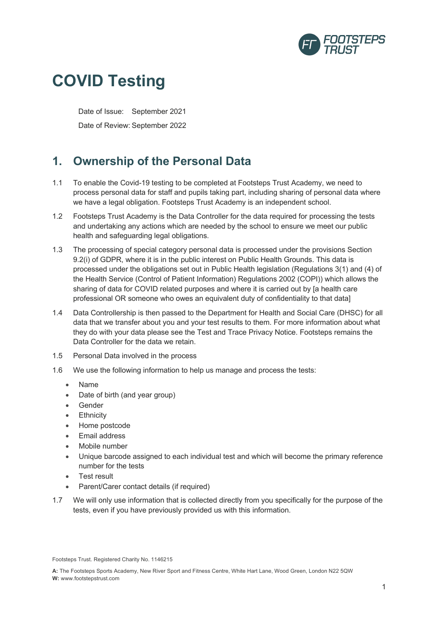

# **COVID Testing**

Date of Issue: September 2021 Date of Review: September 2022

## **1. Ownership of the Personal Data**

- 1.1 To enable the Covid-19 testing to be completed at Footsteps Trust Academy, we need to process personal data for staff and pupils taking part, including sharing of personal data where we have a legal obligation. Footsteps Trust Academy is an independent school.
- 1.2 Footsteps Trust Academy is the Data Controller for the data required for processing the tests and undertaking any actions which are needed by the school to ensure we meet our public health and safeguarding legal obligations.
- 1.3 The processing of special category personal data is processed under the provisions Section 9.2(i) of GDPR, where it is in the public interest on Public Health Grounds. This data is processed under the obligations set out in Public Health legislation (Regulations 3(1) and (4) of the Health Service (Control of Patient Information) Regulations 2002 (COPI)) which allows the sharing of data for COVID related purposes and where it is carried out by [a health care professional OR someone who owes an equivalent duty of confidentiality to that data]
- 1.4 Data Controllership is then passed to the Department for Health and Social Care (DHSC) for all data that we transfer about you and your test results to them. For more information about what they do with your data please see the Test and Trace Privacy Notice. Footsteps remains the Data Controller for the data we retain.
- 1.5 Personal Data involved in the process
- 1.6 We use the following information to help us manage and process the tests:
	- Name
	- Date of birth (and year group)
	- Gender
	- Ethnicity
	- Home postcode
	- Email address
	- Mobile number
	- Unique barcode assigned to each individual test and which will become the primary reference number for the tests
	- Test result
	- Parent/Carer contact details (if required)
- 1.7 We will only use information that is collected directly from you specifically for the purpose of the tests, even if you have previously provided us with this information.

Footsteps Trust. Registered Charity No. 1146215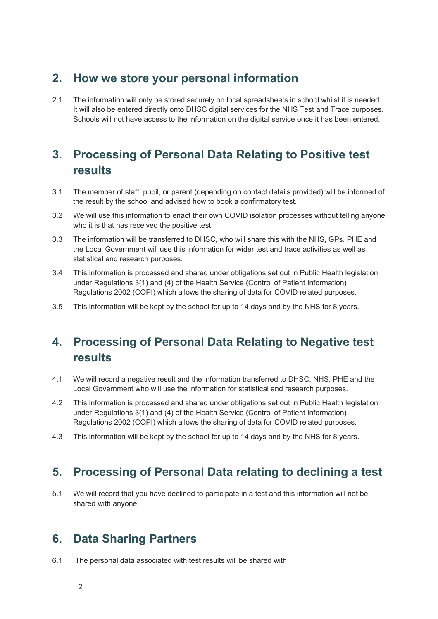#### **2. How we store your personal information**

2.1 The information will only be stored securely on local spreadsheets in school whilst it is needed. It will also be entered directly onto DHSC digital services for the NHS Test and Trace purposes. Schools will not have access to the information on the digital service once it has been entered.

# **3. Processing of Personal Data Relating to Positive test results**

- 3.1 The member of staff, pupil, or parent (depending on contact details provided) will be informed of the result by the school and advised how to book a confirmatory test.
- 3.2 We will use this information to enact their own COVID isolation processes without telling anyone who it is that has received the positive test.
- 3.3 The information will be transferred to DHSC, who will share this with the NHS, GPs. PHE and the Local Government will use this information for wider test and trace activities as well as statistical and research purposes.
- 3.4 This information is processed and shared under obligations set out in Public Health legislation under Regulations 3(1) and (4) of the Health Service (Control of Patient Information) Regulations 2002 (COPI) which allows the sharing of data for COVID related purposes.
- 3.5 This information will be kept by the school for up to 14 days and by the NHS for 8 years.

# **4. Processing of Personal Data Relating to Negative test results**

- 4.1 We will record a negative result and the information transferred to DHSC, NHS. PHE and the Local Government who will use the information for statistical and research purposes.
- 4.2 This information is processed and shared under obligations set out in Public Health legislation under Regulations 3(1) and (4) of the Health Service (Control of Patient Information) Regulations 2002 (COPI) which allows the sharing of data for COVID related purposes.
- 4.3 This information will be kept by the school for up to 14 days and by the NHS for 8 years.

## **5. Processing of Personal Data relating to declining a test**

5.1 We will record that you have declined to participate in a test and this information will not be shared with anyone.

## **6. Data Sharing Partners**

6.1 The personal data associated with test results will be shared with